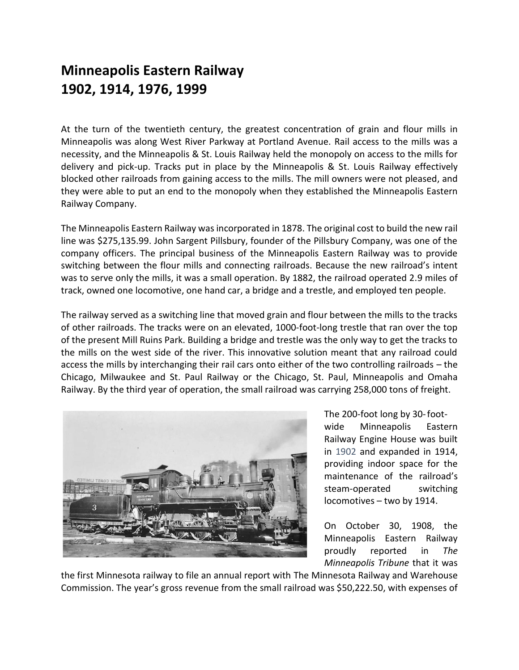## **Minneapolis Eastern Railway 1902, 1914, 1976, 1999**

At the turn of the twentieth century, the greatest concentration of grain and flour mills in Minneapolis was along West River Parkway at Portland Avenue. Rail access to the mills was a necessity, and the Minneapolis & St. Louis Railway held the monopoly on access to the mills for delivery and pick-up. Tracks put in place by the Minneapolis & St. Louis Railway effectively blocked other railroads from gaining access to the mills. The mill owners were not pleased, and they were able to put an end to the monopoly when they established the Minneapolis Eastern Railway Company.

The Minneapolis Eastern Railway was incorporated in 1878. The original cost to build the new rail line was \$275,135.99. John Sargent Pillsbury, founder of the Pillsbury Company, was one of the company officers. The principal business of the Minneapolis Eastern Railway was to provide switching between the flour mills and connecting railroads. Because the new railroad's intent was to serve only the mills, it was a small operation. By 1882, the railroad operated 2.9 miles of track, owned one locomotive, one hand car, a bridge and a trestle, and employed ten people.

The railway served as a switching line that moved grain and flour between the mills to the tracks of other railroads. The tracks were on an elevated, 1000-foot-long trestle that ran over the top of the present Mill Ruins Park. Building a bridge and trestle was the only way to get the tracks to the mills on the west side of the river. This innovative solution meant that any railroad could access the mills by interchanging their rail cars onto either of the two controlling railroads – the Chicago, Milwaukee and St. Paul Railway or the Chicago, St. Paul, Minneapolis and Omaha Railway. By the third year of operation, the small railroad was carrying 258,000 tons of freight.



The 200-foot long by 30-footwide Minneapolis Eastern Railway Engine House was built in 1902 and expanded in 1914, providing indoor space for the maintenance of the railroad's steam-operated switching locomotives – two by 1914.

On October 30, 1908, the Minneapolis Eastern Railway proudly reported in *The Minneapolis Tribune* that it was

the first Minnesota railway to file an annual report with The Minnesota Railway and Warehouse Commission. The year's gross revenue from the small railroad was \$50,222.50, with expenses of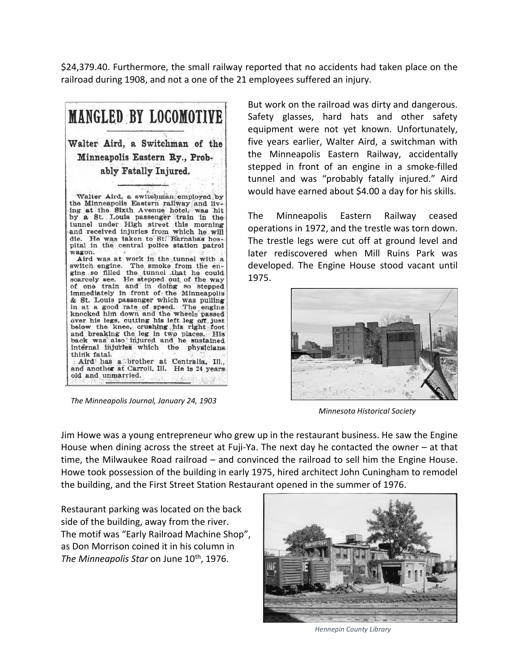\$24,379.40. Furthermore, the small railway reported that no accidents had taken place on the railroad during 1908, and not a one of the 21 employees suffered an injury.



 *The Minneapolis Journal, January 24, 1903*

But work on the railroad was dirty and dangerous. Safety glasses, hard hats and other safety equipment were not yet known. Unfortunately, five years earlier, Walter Aird, a switchman with the Minneapolis Eastern Railway, accidentally stepped in front of an engine in a smoke-filled tunnel and was "probably fatally injured." Aird would have earned about \$4.00 a day for his skills.

The Minneapolis Eastern Railway ceased operations in 1972, and the trestle was torn down. The trestle legs were cut off at ground level and later rediscovered when Mill Ruins Park was developed. The Engine House stood vacant until 1975.



 *Minnesota Historical Society*

Jim Howe was a young entrepreneur who grew up in the restaurant business. He saw the Engine House when dining across the street at Fuji-Ya. The next day he contacted the owner – at that time, the Milwaukee Road railroad – and convinced the railroad to sell him the Engine House. Howe took possession of the building in early 1975, hired architect John Cuningham to remodel the building, and the First Street Station Restaurant opened in the summer of 1976.

Restaurant parking was located on the back side of the building, away from the river. The motif was "Early Railroad Machine Shop", as Don Morrison coined it in his column in *The Minneapolis Star* on June 10th, 1976.



 *Hennepin County Library*